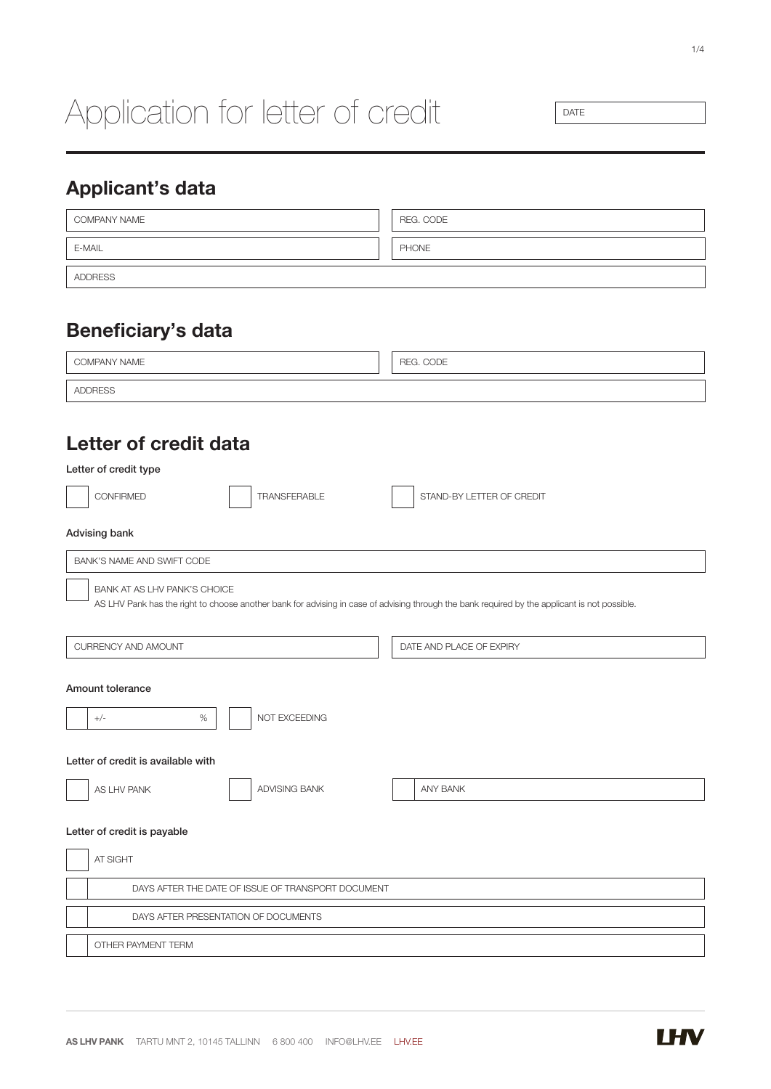# Application for letter of credit

DATE

# Applicant's data

| COMPANY NAME   | REG. CODE    |
|----------------|--------------|
| E-MAIL         | <b>PHONE</b> |
| <b>ADDRESS</b> |              |

# Beneficiary's data

| COMPANY NAME                                       | REG. CODE                                                                                                                                     |  |  |  |  |  |  |
|----------------------------------------------------|-----------------------------------------------------------------------------------------------------------------------------------------------|--|--|--|--|--|--|
| <b>ADDRESS</b>                                     |                                                                                                                                               |  |  |  |  |  |  |
|                                                    |                                                                                                                                               |  |  |  |  |  |  |
| Letter of credit data                              |                                                                                                                                               |  |  |  |  |  |  |
| Letter of credit type                              |                                                                                                                                               |  |  |  |  |  |  |
| <b>CONFIRMED</b><br><b>TRANSFERABLE</b>            | STAND-BY LETTER OF CREDIT                                                                                                                     |  |  |  |  |  |  |
| Advising bank                                      |                                                                                                                                               |  |  |  |  |  |  |
| BANK'S NAME AND SWIFT CODE                         |                                                                                                                                               |  |  |  |  |  |  |
| BANK AT AS LHV PANK'S CHOICE                       | AS LHV Pank has the right to choose another bank for advising in case of advising through the bank required by the applicant is not possible. |  |  |  |  |  |  |
| <b>CURRENCY AND AMOUNT</b>                         | DATE AND PLACE OF EXPIRY                                                                                                                      |  |  |  |  |  |  |
| Amount tolerance<br>NOT EXCEEDING<br>$+/-$<br>$\%$ |                                                                                                                                               |  |  |  |  |  |  |
| Letter of credit is available with                 |                                                                                                                                               |  |  |  |  |  |  |
| ADVISING BANK<br>AS LHV PANK                       | ANY BANK                                                                                                                                      |  |  |  |  |  |  |
| Letter of credit is payable                        |                                                                                                                                               |  |  |  |  |  |  |
| AT SIGHT                                           |                                                                                                                                               |  |  |  |  |  |  |
|                                                    | DAYS AFTER THE DATE OF ISSUE OF TRANSPORT DOCUMENT                                                                                            |  |  |  |  |  |  |
| DAYS AFTER PRESENTATION OF DOCUMENTS               |                                                                                                                                               |  |  |  |  |  |  |
| OTHER PAYMENT TERM                                 |                                                                                                                                               |  |  |  |  |  |  |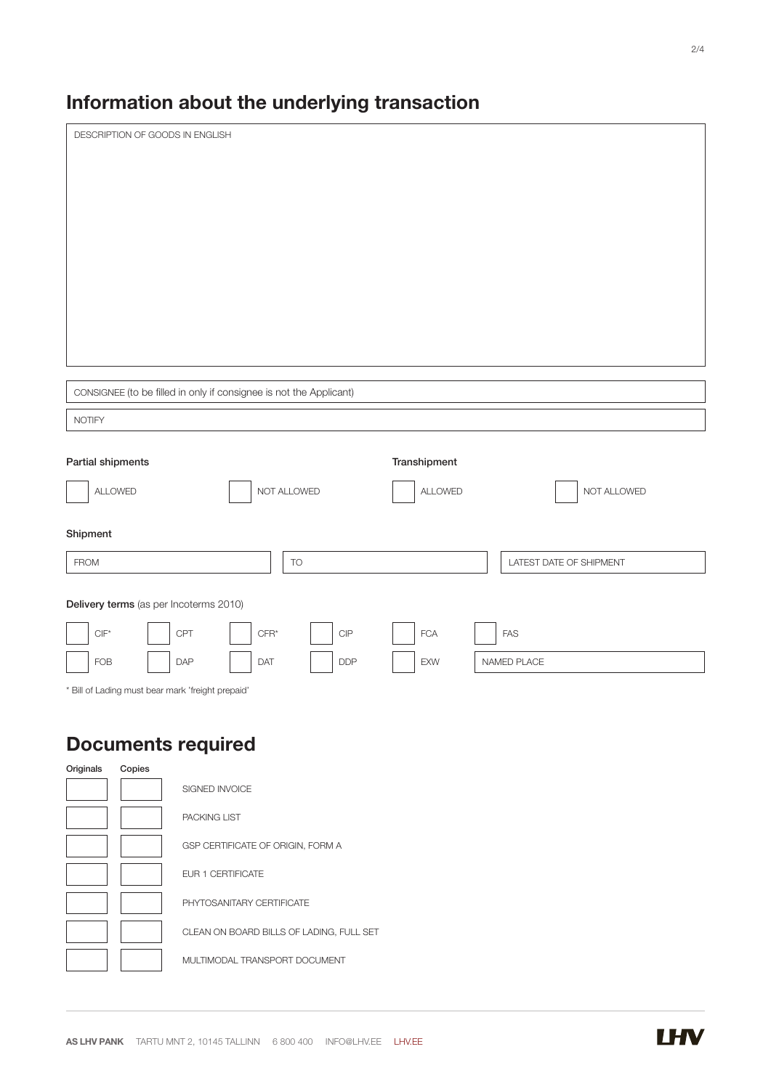# Information about the underlying transaction

| DESCRIPTION OF GOODS IN ENGLISH |                   |                                                                    |                                                   |              |                         |
|---------------------------------|-------------------|--------------------------------------------------------------------|---------------------------------------------------|--------------|-------------------------|
|                                 |                   |                                                                    |                                                   |              |                         |
|                                 |                   |                                                                    |                                                   |              |                         |
|                                 |                   |                                                                    |                                                   |              |                         |
|                                 |                   |                                                                    |                                                   |              |                         |
|                                 |                   |                                                                    |                                                   |              |                         |
|                                 |                   |                                                                    |                                                   |              |                         |
|                                 |                   |                                                                    |                                                   |              |                         |
|                                 |                   |                                                                    |                                                   |              |                         |
|                                 |                   |                                                                    |                                                   |              |                         |
|                                 |                   | CONSIGNEE (to be filled in only if consignee is not the Applicant) |                                                   |              |                         |
| <b>NOTIFY</b>                   |                   |                                                                    |                                                   |              |                         |
|                                 |                   |                                                                    |                                                   |              |                         |
|                                 | Partial shipments |                                                                    |                                                   | Transhipment |                         |
|                                 | ALLOWED           |                                                                    | NOT ALLOWED                                       | ALLOWED      | NOT ALLOWED             |
|                                 |                   |                                                                    |                                                   |              |                         |
| Shipment                        |                   |                                                                    |                                                   |              |                         |
| <b>FROM</b>                     |                   |                                                                    | TO                                                |              | LATEST DATE OF SHIPMENT |
|                                 |                   |                                                                    |                                                   |              |                         |
|                                 |                   | Delivery terms (as per Incoterms 2010)                             |                                                   |              |                         |
| $\mathsf{CIF}^\star$            |                   | CPT<br>${\sf CFR}^\star$                                           | $\ensuremath{\mathsf{C}}\ensuremath{\mathsf{IP}}$ | <b>FCA</b>   | <b>FAS</b>              |
| <b>FOB</b>                      |                   | <b>DAP</b><br>DAT                                                  | DDP                                               | EXW          | NAMED PLACE             |
|                                 |                   | * Bill of Lading must bear mark 'freight prepaid'                  |                                                   |              |                         |
|                                 |                   |                                                                    |                                                   |              |                         |
|                                 |                   | <b>Documents required</b>                                          |                                                   |              |                         |
| Originals                       | Copies            |                                                                    |                                                   |              |                         |
|                                 |                   | SIGNED INVOICE                                                     |                                                   |              |                         |
|                                 |                   | PACKING LIST                                                       |                                                   |              |                         |
|                                 |                   | GSP CERTIFICATE OF ORIGIN, FORM A                                  |                                                   |              |                         |
|                                 |                   | EUR 1 CERTIFICATE                                                  |                                                   |              |                         |
|                                 |                   | PHYTOSANITARY CERTIFICATE                                          |                                                   |              |                         |
|                                 |                   |                                                                    | CLEAN ON BOARD BILLS OF LADING, FULL SET          |              |                         |
|                                 |                   | MULTIMODAL TRANSPORT DOCUMENT                                      |                                                   |              |                         |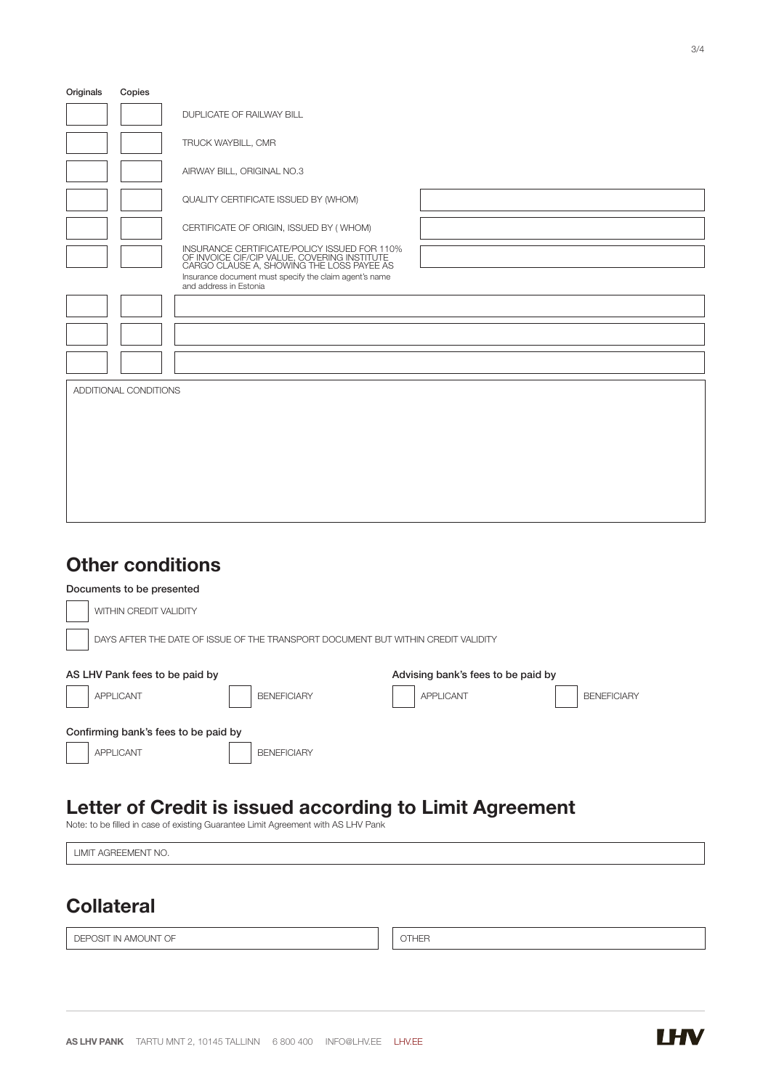| Originals             | Copies |                                                                                                                                           |  |  |
|-----------------------|--------|-------------------------------------------------------------------------------------------------------------------------------------------|--|--|
|                       |        | DUPLICATE OF RAILWAY BILL                                                                                                                 |  |  |
|                       |        | TRUCK WAYBILL, CMR                                                                                                                        |  |  |
|                       |        | AIRWAY BILL, ORIGINAL NO.3                                                                                                                |  |  |
|                       |        | QUALITY CERTIFICATE ISSUED BY (WHOM)                                                                                                      |  |  |
|                       |        | CERTIFICATE OF ORIGIN, ISSUED BY (WHOM)                                                                                                   |  |  |
|                       |        | INSURANCE CERTIFICATE/POLICY ISSUED FOR 110%<br>OF INVOICE CIF/CIP VALUE, COVERING INSTITUTE<br>CARGO CLAUSE A, SHOWING THE LOSS PAYEE AS |  |  |
|                       |        | Insurance document must specify the claim agent's name<br>and address in Estonia                                                          |  |  |
|                       |        |                                                                                                                                           |  |  |
|                       |        |                                                                                                                                           |  |  |
|                       |        |                                                                                                                                           |  |  |
| ADDITIONAL CONDITIONS |        |                                                                                                                                           |  |  |
|                       |        |                                                                                                                                           |  |  |
|                       |        |                                                                                                                                           |  |  |
|                       |        |                                                                                                                                           |  |  |
|                       |        |                                                                                                                                           |  |  |
|                       |        |                                                                                                                                           |  |  |

#### Other conditions

| Documents to be presented                                                         |                                        |  |  |  |
|-----------------------------------------------------------------------------------|----------------------------------------|--|--|--|
| WITHIN CREDIT VALIDITY                                                            |                                        |  |  |  |
| DAYS AFTER THE DATE OF ISSUE OF THE TRANSPORT DOCUMENT BUT WITHIN CREDIT VALIDITY |                                        |  |  |  |
| AS LHV Pank fees to be paid by                                                    | Advising bank's fees to be paid by     |  |  |  |
| <b>APPLICANT</b><br><b>BENEFICIARY</b>                                            | <b>APPLICANT</b><br><b>BENEFICIARY</b> |  |  |  |
| Confirming bank's fees to be paid by                                              |                                        |  |  |  |
| <b>APPLICANT</b><br><b>BENEFICIARY</b>                                            |                                        |  |  |  |

### Letter of Credit is issued according to Limit Agreement

Note: to be filled in case of existing Guarantee Limit Agreement with AS LHV Pank

LIMIT AGREEMENT NO.

#### **Collateral**

DEPOSIT IN AMOUNT OF  $\|\hspace{-.05in} \|$  OTHER